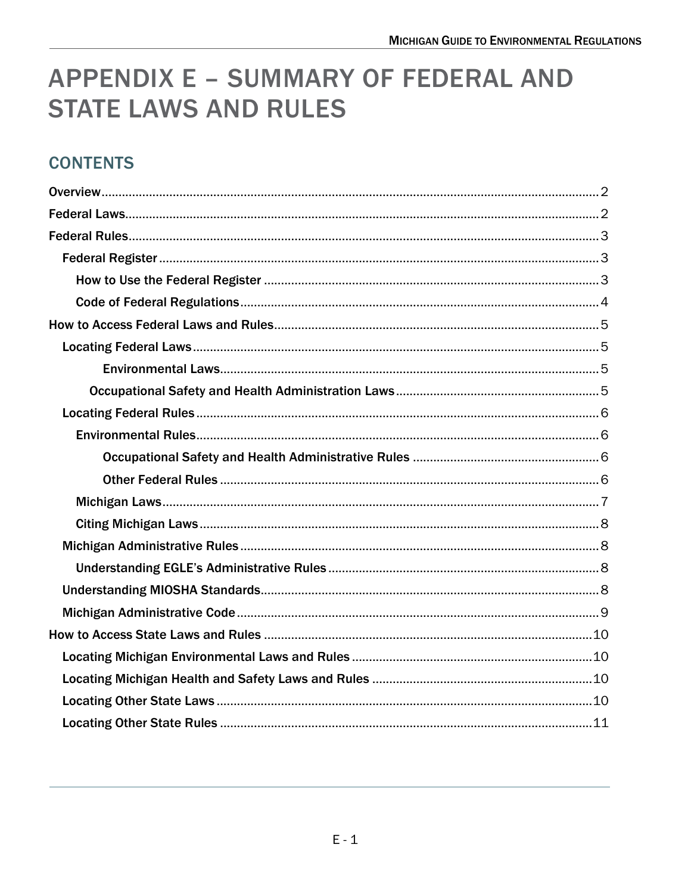# **APPENDIX E - SUMMARY OF FEDERAL AND STATE LAWS AND RULES**

# **CONTENTS**

<span id="page-0-0"></span>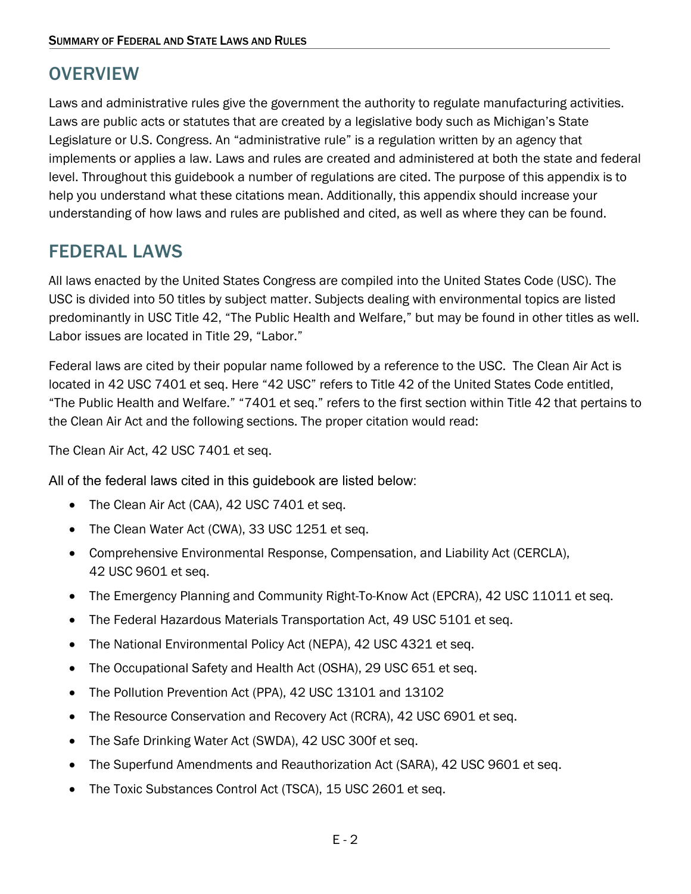# **OVERVIEW**

Laws and administrative rules give the government the authority to regulate manufacturing activities. Laws are public acts or statutes that are created by a legislative body such as Michigan's State Legislature or U.S. Congress. An "administrative rule" is a regulation written by an agency that implements or applies a law. Laws and rules are created and administered at both the state and federal level. Throughout this guidebook a number of regulations are cited. The purpose of this appendix is to help you understand what these citations mean. Additionally, this appendix should increase your understanding of how laws and rules are published and cited, as well as where they can be found.

# <span id="page-1-0"></span>FEDERAL LAWS

All laws enacted by the United States Congress are compiled into the United States Code (USC). The USC is divided into 50 titles by subject matter. Subjects dealing with environmental topics are listed predominantly in USC Title 42, "The Public Health and Welfare," but may be found in other titles as well. Labor issues are located in Title 29, "Labor."

Federal laws are cited by their popular name followed by a reference to the USC. The Clean Air Act is located in 42 USC 7401 et seq. Here "42 USC" refers to Title 42 of the United States Code entitled, "The Public Health and Welfare." "7401 et seq." refers to the first section within Title 42 that pertains to the Clean Air Act and the following sections. The proper citation would read:

The Clean Air Act, 42 USC 7401 et seq.

All of the federal laws cited in this guidebook are listed below:

- [The Clean Air Act \(CAA\), 42 USC 7401 et seq.](https://www.govinfo.gov/app/details/USCODE-2018-title42/USCODE-2018-title42-chap85-subchapI-partA-sec7401)
- [The Clean Water Act \(CWA\), 33 USC 1251 et seq.](https://www.epa.gov/laws-regulations/summary-clean-water-act)
- [Comprehensive Environmental Response, Compensation, and Liability Act \(CERCLA\),](https://www.govinfo.gov/content/pkg/USCODE-2011-title42/html/USCODE-2011-title42-chap103.htm) [42 USC 9601 et seq.](https://www.govinfo.gov/content/pkg/USCODE-2011-title42/html/USCODE-2011-title42-chap103.htm)
- [The Emergency Planning and Community Right-To-Know Act \(EPCRA\), 42 USC 11011 et seq.](https://www.govinfo.gov/content/pkg/USCODE-2011-title42/html/USCODE-2011-title42-chap116.htm)
- [The Federal Hazardous Materials Transportation Act, 49 USC 5101 et seq.](https://uscode.house.gov/view.xhtml?req=granuleid%3AUSC-prelim-title49-chapter51&edition=prelim)
- [The National Environmental Policy Act \(NEPA\), 42 USC 4321 et seq.](https://www.govinfo.gov/content/pkg/USCODE-2011-title42/html/USCODE-2011-title42-chap55.htm)
- The Occupational Safety and Health Act (OSHA), 29 USC 651 et seq.
- [The Pollution Prevention Act \(PPA\), 42 USC 13101 and 13102](https://www.govinfo.gov/content/pkg/USCODE-2011-title42/html/USCODE-2011-title42-chap133.htm)
- [The Resource Conservation and Recovery Act \(RCRA\), 42 USC 6901 et seq.](https://www.govinfo.gov/content/pkg/USCODE-2011-title42/html/USCODE-2011-title42-chap82.htm)
- [The Safe Drinking Water Act \(SWDA\), 42 USC 300f et seq.](https://www.govinfo.gov/content/pkg/USCODE-2011-title42/pdf/USCODE-2011-title42-chap6A-subchapXII.pdf)
- [The Superfund Amendments and Reauthorization Act \(SARA\), 42 USC 9601 et seq.](https://uscode.house.gov/view.xhtml?path=/prelim@title42/chapter103&edition=prelim)
- [The Toxic Substances Control Act \(TSCA\), 15 USC 2601 et seq.](https://uscode.house.gov/view.xhtml?path=/prelim@title15/chapter53&edition=prelim)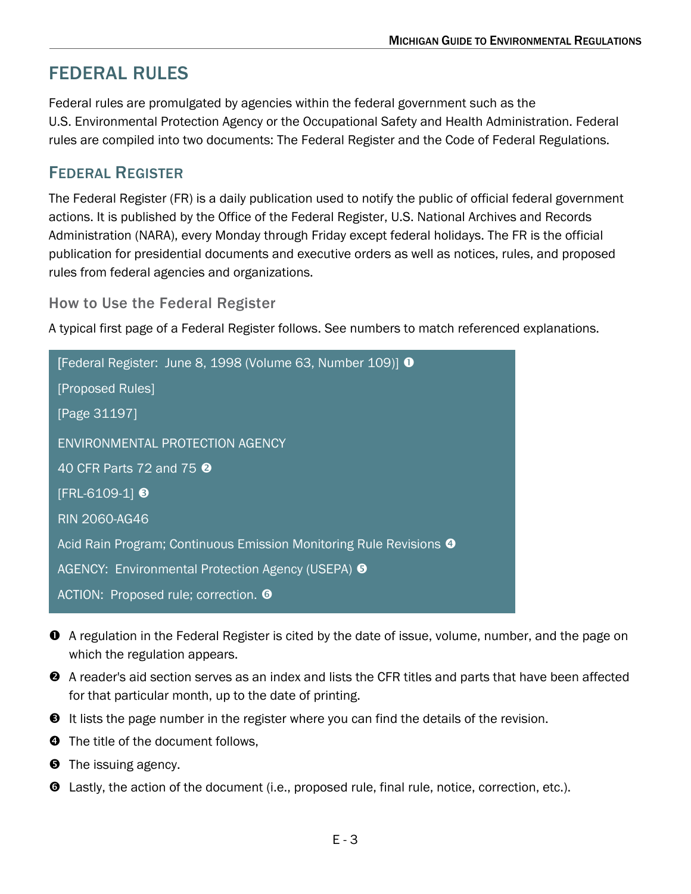# <span id="page-2-0"></span>FEDERAL RULES

Federal rules are promulgated by agencies within the federal government such as the U.S. Environmental Protection Agency or the Occupational Safety and Health Administration. Federal rules are compiled into two documents: The Federal Register and the Code of Federal Regulations.

### <span id="page-2-1"></span>FEDERAL REGISTER

The Federal Register (FR) is a daily publication used to notify the public of official federal government actions. It is published by the Office of the Federal Register, U.S. National Archives and Records Administration (NARA), every Monday through Friday except federal holidays. The FR is the official publication for presidential documents and executive orders as well as notices, rules, and proposed rules from federal agencies and organizations.

#### <span id="page-2-2"></span>How to Use the Federal Register

A typical first page of a Federal Register follows. See numbers to match referenced explanations.

| [Federal Register: June 8, 1998 (Volume 63, Number 109)] 0                    |
|-------------------------------------------------------------------------------|
| [Proposed Rules]                                                              |
| [Page 31197]                                                                  |
| <b>ENVIRONMENTAL PROTECTION AGENCY</b>                                        |
| 40 CFR Parts 72 and 75 <b>@</b>                                               |
| $[FRL-6109-1]$ <sup>8</sup>                                                   |
| <b>RIN 2060-AG46</b>                                                          |
| Acid Rain Program; Continuous Emission Monitoring Rule Revisions <sup>4</sup> |
| AGENCY: Environmental Protection Agency (USEPA) <sup>●</sup>                  |
| ACTION: Proposed rule; correction. <b>O</b>                                   |

- A regulation in the Federal Register is cited by the date of issue, volume, number, and the page on which the regulation appears.
- A reader's aid section serves as an index and lists the CFR titles and parts that have been affected for that particular month, up to the date of printing.
- **O** It lists the page number in the register where you can find the details of the revision.
- $\bullet$  The title of the document follows,
- $\Theta$  The issuing agency.
- Lastly, the action of the document (i.e., proposed rule, final rule, notice, correction, etc.).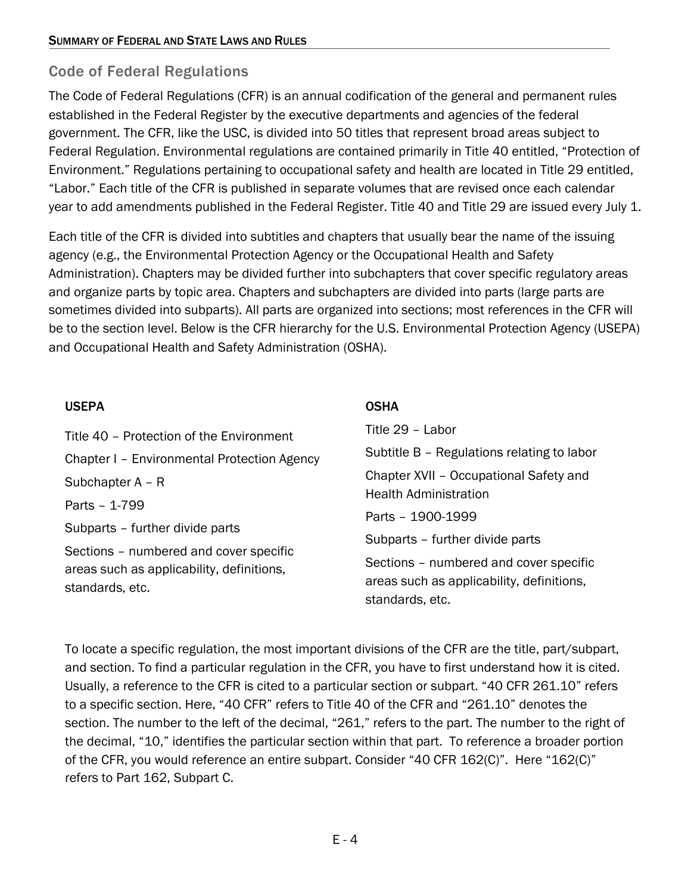### <span id="page-3-0"></span>Code of Federal Regulations

The Code of Federal Regulations (CFR) is an annual codification of the general and permanent rules established in the Federal Register by the executive departments and agencies of the federal government. The CFR, like the USC, is divided into 50 titles that represent broad areas subject to Federal Regulation. Environmental regulations are contained primarily in Title 40 entitled, "Protection of Environment." Regulations pertaining to occupational safety and health are located in Title 29 entitled, "Labor." Each title of the CFR is published in separate volumes that are revised once each calendar year to add amendments published in the Federal Register. Title 40 and Title 29 are issued every July 1.

Each title of the CFR is divided into subtitles and chapters that usually bear the name of the issuing agency (e.g., the Environmental Protection Agency or the Occupational Health and Safety Administration). Chapters may be divided further into subchapters that cover specific regulatory areas and organize parts by topic area. Chapters and subchapters are divided into parts (large parts are sometimes divided into subparts). All parts are organized into sections; most references in the CFR will be to the section level. Below is the CFR hierarchy for the U.S. Environmental Protection Agency (USEPA) and Occupational Health and Safety Administration (OSHA).

#### USEPA

#### **OSHA**

| Title 40 – Protection of the Environment                     | Title 29 - Labor                                                                                       |
|--------------------------------------------------------------|--------------------------------------------------------------------------------------------------------|
| Chapter I - Environmental Protection Agency                  | Subtitle B - Regulations relating to labor                                                             |
| Subchapter $A - R$                                           | Chapter XVII - Occupational Safety and<br><b>Health Administration</b>                                 |
| Parts - 1-799                                                |                                                                                                        |
| Subparts - further divide parts                              | Parts - 1900-1999                                                                                      |
| Sections – numbered and cover specific                       | Subparts - further divide parts                                                                        |
| areas such as applicability, definitions,<br>standards, etc. | Sections – numbered and cover specific<br>areas such as applicability, definitions,<br>standards, etc. |

To locate a specific regulation, the most important divisions of the CFR are the title, part/subpart, and section. To find a particular regulation in the CFR, you have to first understand how it is cited. Usually, a reference to the CFR is cited to a particular section or subpart. "40 CFR 261.10" refers to a specific section. Here, "40 CFR" refers to Title 40 of the CFR and "261.10" denotes the section. The number to the left of the decimal, "261," refers to the part. The number to the right of the decimal, "10," identifies the particular section within that part. To reference a broader portion of the CFR, you would reference an entire subpart. Consider "40 CFR 162(C)". Here "162(C)" refers to Part 162, Subpart C.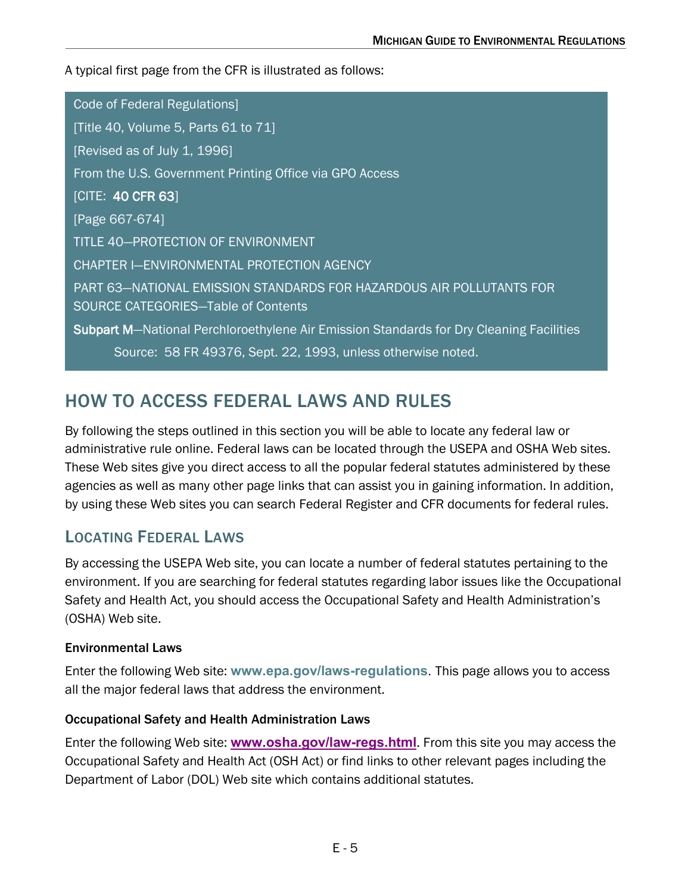A typical first page from the CFR is illustrated as follows:

Code of Federal Regulations] [Title 40, Volume 5, Parts 61 to 71] [Revised as of July 1, 1996] From the U.S. Government Printing Office via GPO Access [CITE: 40 CFR 63] [Page 667-674] TITLE 40—PROTECTION OF ENVIRONMENT CHAPTER I—ENVIRONMENTAL PROTECTION AGENCY PART 63—NATIONAL EMISSION STANDARDS FOR HAZARDOUS AIR POLLUTANTS FOR SOURCE CATEGORIES—Table of Contents Subpart M-National Perchloroethylene Air Emission Standards for Dry Cleaning Facilities Source: 58 FR 49376, Sept. 22, 1993, unless otherwise noted.

# <span id="page-4-0"></span>HOW TO ACCESS FEDERAL LAWS AND RULES

By following the steps outlined in this section you will be able to locate any federal law or administrative rule online. Federal laws can be located through the USEPA and OSHA Web sites. These Web sites give you direct access to all the popular federal statutes administered by these agencies as well as many other page links that can assist you in gaining information. In addition, by using these Web sites you can search Federal Register and CFR documents for federal rules.

# <span id="page-4-1"></span>LOCATING FEDERAL LAWS

By accessing the USEPA Web site, you can locate a number of federal statutes pertaining to the environment. If you are searching for federal statutes regarding labor issues like the Occupational Safety and Health Act, you should access the Occupational Safety and Health Administration's (OSHA) Web site.

#### <span id="page-4-2"></span>Environmental Laws

Ī

Enter the following Web site: **[www.epa.gov/laws-regulations](http://www.epa.gov/laws-regulations)**. This page allows you to access all the major federal laws that address the environment.

#### <span id="page-4-3"></span>Occupational Safety and Health Administration Laws

Enter the following Web site: **[www.osha.gov/law-regs.html](http://www.osha.gov/law-regs.html)**. From this site you may access the Occupational Safety and Health Act (OSH Act) or find links to other relevant pages including the Department of Labor (DOL) Web site which contains additional statutes.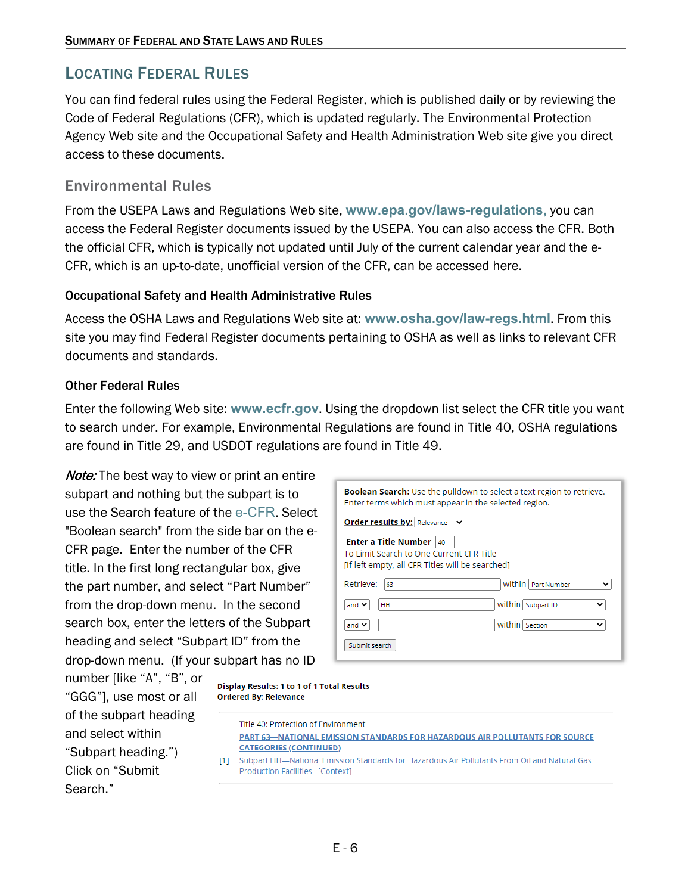### <span id="page-5-0"></span>LOCATING FEDERAL RULES

You can find federal rules using the Federal Register, which is published daily or by reviewing the Code of Federal Regulations (CFR), which is updated regularly. The Environmental Protection Agency Web site and the Occupational Safety and Health Administration Web site give you direct access to these documents.

#### <span id="page-5-1"></span>Environmental Rules

From the USEPA Laws and Regulations Web site, **[www.epa.gov/laws-regulations,](http://www.epa.gov/laws-regulations)** you can access the Federal Register documents issued by the USEPA. You can also access the CFR. Both the official CFR, which is typically not updated until July of the current calendar year and the e-CFR, which is an up-to-date, unofficial version of the CFR, can be accessed here.

#### <span id="page-5-2"></span>Occupational Safety and Health Administrative Rules

Access the OSHA Laws and Regulations Web site at: **[www.osha.gov/law-regs.html](http://www.osha.gov/law-regs.html)**. From this site you may find Federal Register documents pertaining to OSHA as well as links to relevant CFR documents and standards.

#### <span id="page-5-3"></span>Other Federal Rules

Enter the following Web site: **[www.ecfr.gov](http://www.ecfr.gov/)**. Using the dropdown list select the CFR title you want to search under. For example, Environmental Regulations are found in Title 40, OSHA regulations are found in Title 29, and USDOT regulations are found in Title 49.

**Note:** The best way to view or print an entire subpart and nothing but the subpart is to use the Search feature of the [e-CFR](http://ecfr.gpoaccess.gov/cgi/t/text/text-idx?sid=cece82c63fbe8091e40ba25802c1bdaf&c=ecfr&page=boolean). Select "Boolean search" from the side bar on the e-CFR page. Enter the number of the CFR title. In the first long rectangular box, give the part number, and select "Part Number" from the drop-down menu. In the second search box, enter the letters of the Subpart heading and select "Subpart ID" from the drop-down menu. (If your subpart has no ID

| <b>Boolean Search:</b> Use the pulldown to select a text region to retrieve.<br>Enter terms which must appear in the selected region. |
|---------------------------------------------------------------------------------------------------------------------------------------|
| <b>Order results by:</b> Relevance                                                                                                    |
| <b>Enter a Title Number</b><br>40<br>To Limit Search to One Current CFR Title<br>[If left empty, all CFR Titles will be searched]     |
| Retrieve:<br>Within   Part Number<br>63<br>$\check{ }$                                                                                |
| Within   Subpart ID<br>and $\vee$<br>HH<br>v                                                                                          |
| Within Section<br>and $\vee$<br>$\check{ }$                                                                                           |
| Submit search                                                                                                                         |

number [like "A", "B", or "GGG"], use most or all of the subpart heading and select within "Subpart heading.") Click on "Submit Search."

| Display Results: 1 to 1 of 1 Total Results |
|--------------------------------------------|
| <b>Ordered By: Relevance</b>               |

|      | Title 40: Protection of Environment                                                                                                    |
|------|----------------------------------------------------------------------------------------------------------------------------------------|
|      | <b>PART 63-NATIONAL EMISSION STANDARDS FOR HAZARDOUS AIR POLLUTANTS FOR SOURCE</b>                                                     |
|      | <b>CATEGORIES (CONTINUED)</b>                                                                                                          |
| T11. | Subpart HH—National Emission Standards for Hazardous Air Pollutants From Oil and Natural Gas<br><b>Production Facilities [Context]</b> |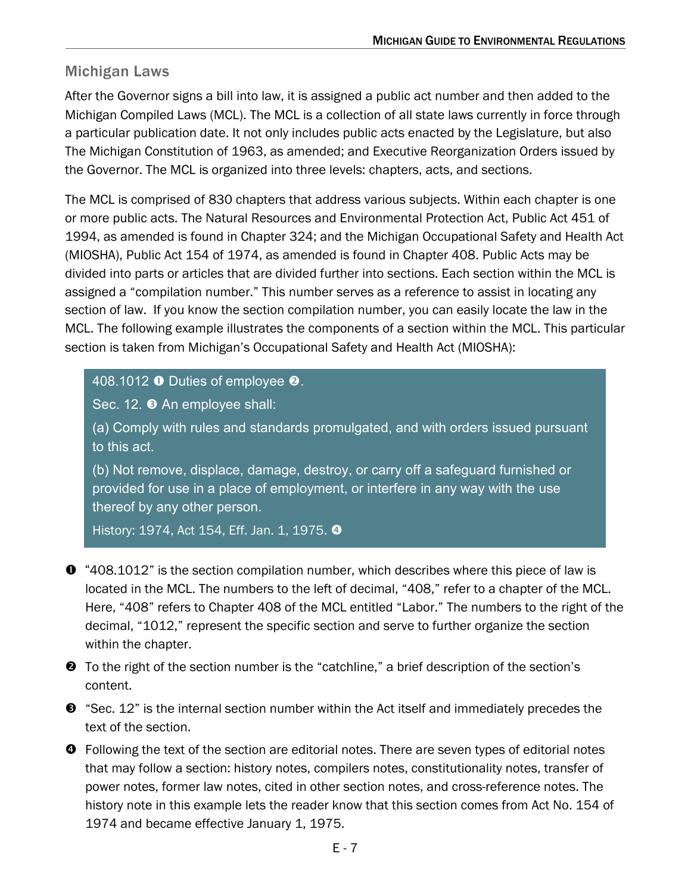### <span id="page-6-0"></span>Michigan Laws

After the Governor signs a bill into law, it is assigned a public act number and then added to the Michigan Compiled Laws (MCL). The MCL is a collection of all state laws currently in force through a particular publication date. It not only includes public acts enacted by the Legislature, but also The Michigan Constitution of 1963, as amended; and Executive Reorganization Orders issued by the Governor. The MCL is organized into three levels: chapters, acts, and sections.

The MCL is comprised of 830 chapters that address various subjects. Within each chapter is one or more public acts. The Natural Resources and Environmental Protection Act, Public Act 451 of 1994, as amended is found in Chapter 324; and the Michigan Occupational Safety and Health Act (MIOSHA), Public Act 154 of 1974, as amended is found in Chapter 408. Public Acts may be divided into parts or articles that are divided further into sections. Each section within the MCL is assigned a "compilation number." This number serves as a reference to assist in locating any section of law. If you know the section compilation number, you can easily locate the law in the MCL. The following example illustrates the components of a section within the MCL. This particular section is taken from Michigan's Occupational Safety and Health Act (MIOSHA):

#### 408.1012  $\bullet$  Duties of employee  $\bullet$ .

Sec. 12. <sup>O</sup> An employee shall:

(a) Comply with rules and standards promulgated, and with orders issued pursuant to this act.

(b) Not remove, displace, damage, destroy, or carry off a safeguard furnished or provided for use in a place of employment, or interfere in any way with the use thereof by any other person.

History: 1974, Act 154, Eff. Jan. 1, 1975. <sup>O</sup>

- "408.1012" is the section compilation number, which describes where this piece of law is located in the MCL. The numbers to the left of decimal, "408," refer to a chapter of the MCL. Here, "408" refers to Chapter 408 of the MCL entitled "Labor." The numbers to the right of the decimal, "1012," represent the specific section and serve to further organize the section within the chapter.
- To the right of the section number is the "catchline," a brief description of the section's content.
- $\bullet$  "Sec. 12" is the internal section number within the Act itself and immediately precedes the text of the section.
- **O** Following the text of the section are editorial notes. There are seven types of editorial notes that may follow a section: history notes, compilers notes, constitutionality notes, transfer of power notes, former law notes, cited in other section notes, and cross-reference notes. The history note in this example lets the reader know that this section comes from Act No. 154 of 1974 and became effective January 1, 1975.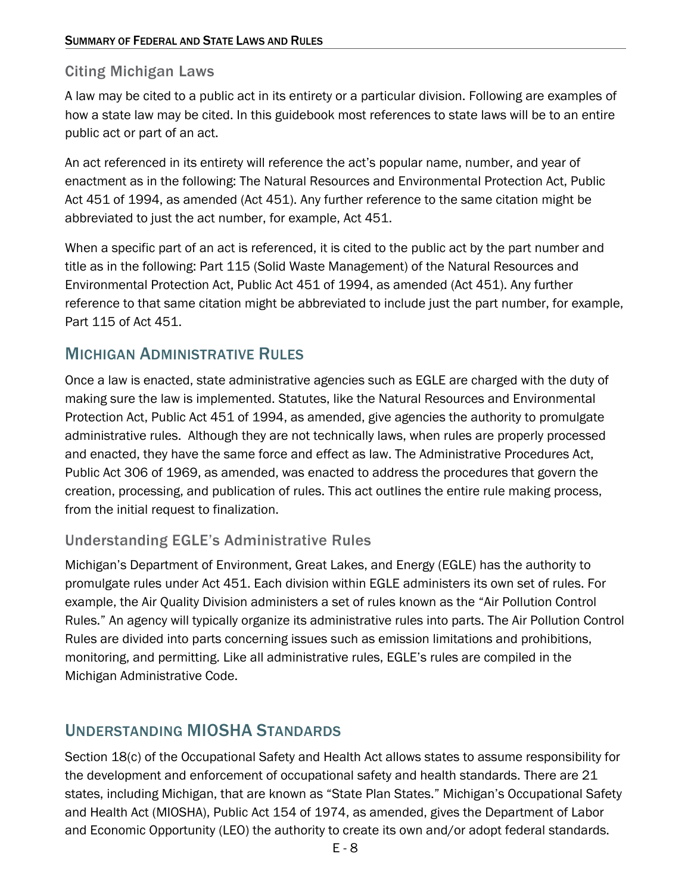### <span id="page-7-0"></span>Citing Michigan Laws

A law may be cited to a public act in its entirety or a particular division. Following are examples of how a state law may be cited. In this guidebook most references to state laws will be to an entire public act or part of an act.

An act referenced in its entirety will reference the act's popular name, number, and year of enactment as in the following: The Natural Resources and Environmental Protection Act, Public Act 451 of 1994, as amended (Act 451). Any further reference to the same citation might be abbreviated to just the act number, for example, Act 451.

When a specific part of an act is referenced, it is cited to the public act by the part number and title as in the following: Part 115 (Solid Waste Management) of the Natural Resources and Environmental Protection Act, Public Act 451 of 1994, as amended (Act 451). Any further reference to that same citation might be abbreviated to include just the part number, for example, Part 115 of Act 451.

# <span id="page-7-1"></span>MICHIGAN ADMINISTRATIVE RULES

Once a law is enacted, state administrative agencies such as EGLE are charged with the duty of making sure the law is implemented. Statutes, like the Natural Resources and Environmental Protection Act, Public Act 451 of 1994, as amended, give agencies the authority to promulgate administrative rules. Although they are not technically laws, when rules are properly processed and enacted, they have the same force and effect as law. The Administrative Procedures Act, Public Act 306 of 1969, as amended, was enacted to address the procedures that govern the creation, processing, and publication of rules. This act outlines the entire rule making process, from the initial request to finalization.

### <span id="page-7-2"></span>Understanding EGLE's Administrative Rules

Michigan's Department of Environment, Great Lakes, and Energy (EGLE) has the authority to promulgate rules under Act 451. Each division within EGLE administers its own set of rules. For example, the Air Quality Division administers a set of rules known as the "Air Pollution Control Rules." An agency will typically organize its administrative rules into parts. The Air Pollution Control Rules are divided into parts concerning issues such as emission limitations and prohibitions, monitoring, and permitting. Like all administrative rules, EGLE's rules are compiled in the Michigan Administrative Code.

# <span id="page-7-3"></span>UNDERSTANDING MIOSHA STANDARDS

Section 18(c) of the Occupational Safety and Health Act allows states to assume responsibility for the development and enforcement of occupational safety and health standards. There are 21 states, including Michigan, that are known as "State Plan States." Michigan's Occupational Safety and Health Act (MIOSHA), Public Act 154 of 1974, as amended, gives the Department of Labor and Economic Opportunity (LEO) the authority to create its own and/or adopt federal standards.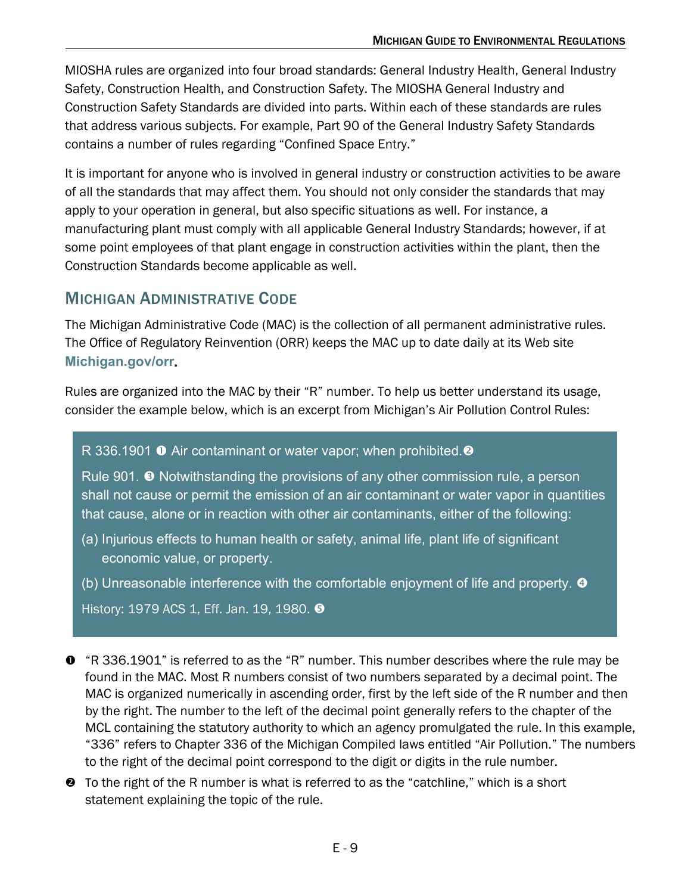MIOSHA rules are organized into four broad standards: General Industry Health, General Industry Safety, Construction Health, and Construction Safety. The MIOSHA General Industry and Construction Safety Standards are divided into parts. Within each of these standards are rules that address various subjects. For example, Part 90 of the General Industry Safety Standards contains a number of rules regarding "Confined Space Entry."

It is important for anyone who is involved in general industry or construction activities to be aware of all the standards that may affect them. You should not only consider the standards that may apply to your operation in general, but also specific situations as well. For instance, a manufacturing plant must comply with all applicable General Industry Standards; however, if at some point employees of that plant engage in construction activities within the plant, then the Construction Standards become applicable as well.

### <span id="page-8-0"></span>MICHIGAN ADMINISTRATIVE CODE

The Michigan Administrative Code (MAC) is the collection of all permanent administrative rules. The Office of Regulatory Reinvention (ORR) keeps the MAC up to date daily at its Web site **[Michigan.gov/orr](http://www.michigan.gov/orr)**.

Rules are organized into the MAC by their "R" number. To help us better understand its usage, consider the example below, which is an excerpt from Michigan's Air Pollution Control Rules:

#### R 336.1901 **O** Air contaminant or water vapor; when prohibited. **@**

Rule 901.  $\bullet$  Notwithstanding the provisions of any other commission rule, a person shall not cause or permit the emission of an air contaminant or water vapor in quantities that cause, alone or in reaction with other air contaminants, either of the following:

- (a) Injurious effects to human health or safety, animal life, plant life of significant economic value, or property.
- (b) Unreasonable interference with the comfortable enjoyment of life and property.

History: 1979 ACS 1, Eff. Jan. 19, 1980. <sup>9</sup>

- "R 336.1901" is referred to as the "R" number. This number describes where the rule may be found in the MAC. Most R numbers consist of two numbers separated by a decimal point. The MAC is organized numerically in ascending order, first by the left side of the R number and then by the right. The number to the left of the decimal point generally refers to the chapter of the MCL containing the statutory authority to which an agency promulgated the rule. In this example, "336" refers to Chapter 336 of the Michigan Compiled laws entitled "Air Pollution." The numbers to the right of the decimal point correspond to the digit or digits in the rule number.
- To the right of the R number is what is referred to as the "catchline," which is a short statement explaining the topic of the rule.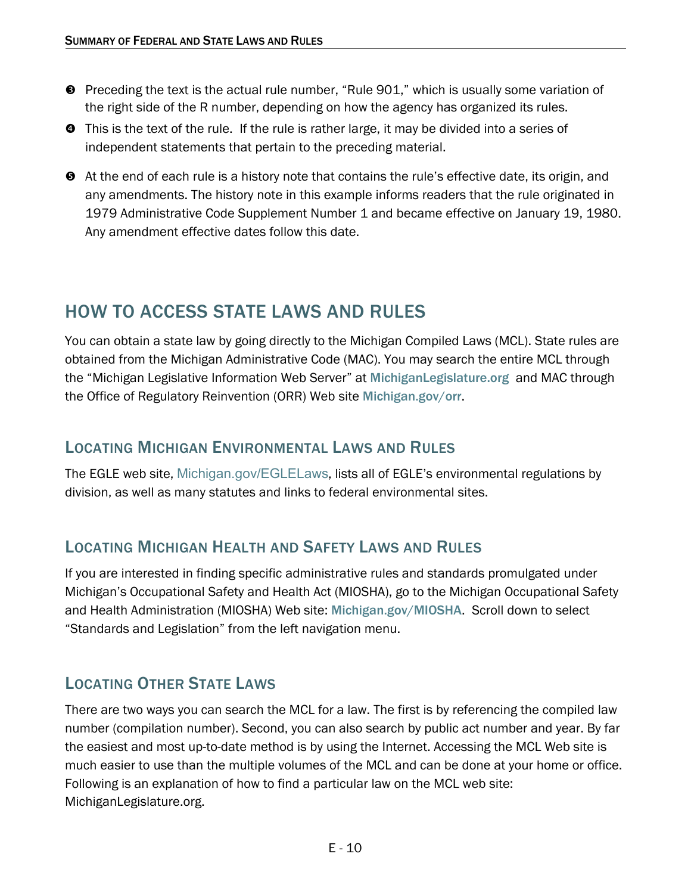- Preceding the text is the actual rule number, "Rule 901," which is usually some variation of the right side of the R number, depending on how the agency has organized its rules.
- **O** This is the text of the rule. If the rule is rather large, it may be divided into a series of independent statements that pertain to the preceding material.
- At the end of each rule is a history note that contains the rule's effective date, its origin, and any amendments. The history note in this example informs readers that the rule originated in 1979 Administrative Code Supplement Number 1 and became effective on January 19, 1980. Any amendment effective dates follow this date.

# <span id="page-9-0"></span>HOW TO ACCESS STATE LAWS AND RULES

You can obtain a state law by going directly to the Michigan Compiled Laws (MCL). State rules are obtained from the Michigan Administrative Code (MAC). You may search the entire MCL through the "Michigan Legislative Information Web Server" at [MichiganLegislature.org](http://www.michiganlegislature.org/) and MAC through the Office of Regulatory Reinvention (ORR) Web site [Michigan.gov/orr](http://www.michigan.gov/orr).

### <span id="page-9-1"></span>LOCATING MICHIGAN ENVIRONMENTAL LAWS AND RULES

<span id="page-9-2"></span>The EGLE web site, [Michigan.gov/EGLELaws](http://www.michigan.gov/EGLELaws), lists all of EGLE's environmental regulations by division, as well as many statutes and links to federal environmental sites.

# LOCATING MICHIGAN HEALTH AND SAFETY LAWS AND RULES

If you are interested in finding specific administrative rules and standards promulgated under Michigan's Occupational Safety and Health Act (MIOSHA), go to the Michigan Occupational Safety and Health Administration (MIOSHA) Web site: [Michigan.gov/MIOSHA](http://www.michigan.gov/miosha). Scroll down to select "Standards and Legislation" from the left navigation menu.

# <span id="page-9-3"></span>LOCATING OTHER STATE LAWS

There are two ways you can search the MCL for a law. The first is by referencing the compiled law number (compilation number). Second, you can also search by public act number and year. By far the easiest and most up-to-date method is by using the Internet. Accessing the MCL Web site is much easier to use than the multiple volumes of the MCL and can be done at your home or office. Following is an explanation of how to find a particular law on the MCL web site: [MichiganLegislature.org.](http://www.michiganlegislature.org/)